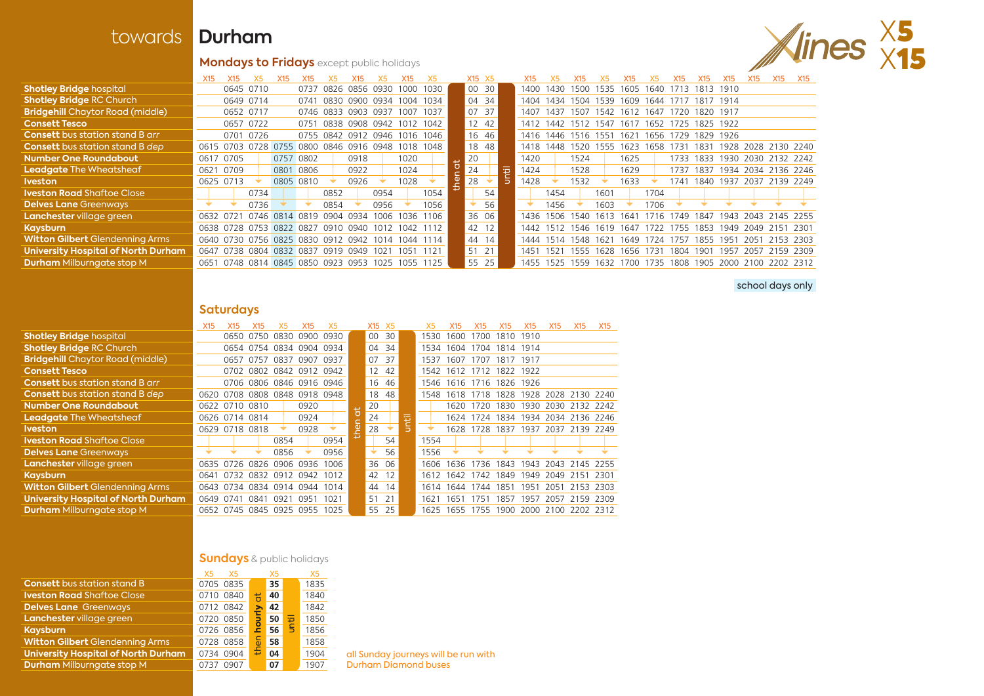## towards **Durham**

# X5 **Mondays to Fridays** except public holidays **X15**

|                                         |      | X <sub>15</sub>                                   |                          | <b>X15</b> | X <sub>15</sub> | Х5   | X <sub>15</sub> | X5.                                          | X <sub>15</sub> |      | X <sub>15</sub> X <sub>5</sub> |       |       |                          |      |      |                     |           | X15  | X15                                          |                     | X <sub>15</sub> | X15            | X15 |
|-----------------------------------------|------|---------------------------------------------------|--------------------------|------------|-----------------|------|-----------------|----------------------------------------------|-----------------|------|--------------------------------|-------|-------|--------------------------|------|------|---------------------|-----------|------|----------------------------------------------|---------------------|-----------------|----------------|-----|
| <b>Shotley Bridge hospital</b>          |      |                                                   | 0645 0710                |            | 0737            |      |                 | 0826 0856 0930                               | 1000            | 1030 | 00 30                          |       | 1400- |                          |      |      |                     |           |      | 1430 1500 1535 1605 1640 1713 1813 1910      |                     |                 |                |     |
| <b>Shotley Bridge RC Church</b>         |      |                                                   | 0649 0714                |            | 0741            |      |                 | 0830 0900 0934 1004 1034                     |                 |      | 04 34                          |       |       | 1404 1434                | 1504 | 1539 | 1609                | 1644      | 1717 | 1817 1914                                    |                     |                 |                |     |
| <b>Bridgehill</b> Chaytor Road (middle) |      |                                                   | 0652 0717                |            |                 |      |                 | 0746 0833 0903 0937                          | 1007 1037       |      | 07 37                          |       | 1407  | 1437                     | 1507 |      | 1542 1612 1647      |           |      | 1720 1820 1917                               |                     |                 |                |     |
| <b>Consett Tesco</b>                    |      |                                                   | 0657 0722                |            | 0751            |      |                 | 0838 0908 0942 1012 1042                     |                 |      | 12 42                          |       |       |                          |      |      |                     |           |      | 1412 1442 1512 1547 1617 1652 1725 1825 1922 |                     |                 |                |     |
| <b>Consett</b> bus station stand B arr  |      |                                                   | 0701 0726                |            |                 |      |                 | 0755 0842 0912 0946 1016 1046                |                 |      |                                | 16 46 |       | 1416 1446 1516 1551 1621 |      |      |                     |           |      | 1656 1729 1829 1926                          |                     |                 |                |     |
| <b>Consett</b> bus station stand B dep  |      | 0615 0703 0728 0755 0800 0846 0916 0948           |                          |            |                 |      |                 |                                              | 1018 1048       |      |                                | 18 48 | 1418  | 1448                     | 1520 | 1555 | 1623                |           |      | 1658 1731 1831 1928 2028 2130 2240           |                     |                 |                |     |
| Number One Roundabout                   |      | 0617 0705                                         |                          |            | 0757 0802       |      | 0918            |                                              | 1020            |      | 20                             |       | 1420  |                          | 1524 |      | 1625                |           |      | 1733 1833 1930 2030 2132 2242                |                     |                 |                |     |
| <b>Leadgate</b> The Wheatsheaf          | 0621 | 0709                                              |                          |            | 0801 0806       |      | 0922            |                                              | 1024            |      | 24                             |       | 1424  |                          | 1528 |      | 1629                |           |      | 1737 1837 1934 2034 2136 2246                |                     |                 |                |     |
| Iveston                                 |      | 0625 0713                                         |                          |            | 0805 0810       |      | 0926            |                                              | 1028            |      | 28                             |       | 428   |                          | 1532 |      | 1633                |           | 1741 | 1840 1937 2037 2139 2249                     |                     |                 |                |     |
| <b>Iveston Road</b> Shaftoe Close       |      |                                                   | 0734                     |            |                 | 0852 |                 | 0954                                         |                 | 1054 |                                | 54    |       | 1454                     |      | 1601 |                     | 1704      |      |                                              |                     |                 |                |     |
| <b>Delves Lane Greenways</b>            |      |                                                   | 0736                     |            |                 | 0854 |                 | 0956                                         |                 | 1056 |                                | 56    |       | 1456                     |      | 1603 |                     | 1706      |      |                                              |                     |                 |                |     |
| Lanchester village green                |      | 0632 0721                                         | 0746 0814 0819 0904 0934 |            |                 |      |                 | 1006                                         | 1036 1106       |      | 36 06                          |       | 1436  | 1506                     | 1540 | 1613 | 1641                | 1716 1749 |      | 1847                                         | 1943 2043 2145 2255 |                 |                |     |
| Kaysburn                                |      | 0638 0728 0753 0822 0827 0910 0940 1012 1042 1112 |                          |            |                 |      |                 |                                              |                 |      | 42 12                          |       |       | 1442 1512 1546 1619 1647 |      |      |                     |           |      | 1722 1755 1853                               | 1949 2049 2151 2301 |                 |                |     |
| <b>Witton Gilbert</b> Glendenning Arms  |      | 0640 0730 0756 0825 0830 0912 0942 1014           |                          |            |                 |      |                 |                                              | 1044 1114       |      | 44 14                          |       | 1444  | 1514 1548 1621 1649      |      |      |                     |           |      | 1724 1757 1855 1951                          |                     |                 | 2051 2153 2303 |     |
| University Hospital of North Durham     |      | 0647 0738 0804 0832 0837 0919 0949                |                          |            |                 |      |                 | 1021                                         | 1051            | 1121 | 51 21                          |       | 1451  | 1521                     |      |      | 1555 1628 1656 1731 |           |      | 1804 1901 1957                               |                     |                 | 2057 2159 2309 |     |
| <b>Durham</b> Milburngate stop M        | 0651 |                                                   |                          |            |                 |      |                 | 0748 0814 0845 0850 0923 0953 1025 1055 1125 |                 |      | 55                             | 25    | 1455  | 1525                     | 1559 | 1632 | 1700                | 1735      | 1808 | 1905 2000 2100 2202 2312                     |                     |                 |                |     |
|                                         |      |                                                   |                          |            |                 |      |                 |                                              |                 |      |                                |       |       |                          |      |      |                     |           |      |                                              |                     |                 |                |     |

#### school days only

#### **Saturdays**

|                                            | <b>X15</b> | X <sub>15</sub>               | X15       | X5                       | X15       |      |                     | X15 X5 |       |             |      | <b>X15</b>                              | X <sub>15</sub> | X15            | X15                           | <b>X15</b> | <b>X15</b> | <b>X15</b> |
|--------------------------------------------|------------|-------------------------------|-----------|--------------------------|-----------|------|---------------------|--------|-------|-------------|------|-----------------------------------------|-----------------|----------------|-------------------------------|------------|------------|------------|
| <b>Shotley Bridge hospital</b>             |            |                               | 0650 0750 | 0830 0900                |           | 0930 |                     | 00     | 30    |             | 1530 | 1600                                    | 1700            | 1810 1910      |                               |            |            |            |
| <b>Shotley Bridge RC Church</b>            |            |                               |           | 0654 0754 0834 0904 0934 |           |      |                     | 04     | 34    |             | 1534 | 1604                                    |                 | 1704 1814 1914 |                               |            |            |            |
| <b>Bridgehill</b> Chaytor Road (middle)    |            | 0657 0757                     |           | 0837                     | 0907 0937 |      |                     | 07     | 37    |             | 1537 | 1607                                    | 1707            | 1817 1917      |                               |            |            |            |
| <b>Consett Tesco</b>                       |            |                               |           | 0702 0802 0842 0912 0942 |           |      |                     | 12     | 42    |             |      | 1542 1612                               |                 | 1712 1822 1922 |                               |            |            |            |
| <b>Consett</b> bus station stand B arr     |            |                               |           | 0706 0806 0846 0916 0946 |           |      |                     |        | 16 46 |             |      | 1546 1616 1716 1826 1926                |                 |                |                               |            |            |            |
| <b>Consett</b> bus station stand B dep     | 0620       | 0708 0808 0848 0918 0948      |           |                          |           |      |                     | 18     | 48    |             |      | 1548 1618                               |                 |                | 1718 1828 1928 2028 2130 2240 |            |            |            |
| <b>Number One Roundabout</b>               |            | 0622 0710 0810                |           |                          | 0920      |      |                     | 20     |       |             |      | 1620                                    | 1720            | 1830           | 1930 2030 2132 2242           |            |            |            |
| <b>Leadgate</b> The Wheatsheaf             |            | 0626 0714 0814                |           |                          | 0924      |      |                     | 24     |       | <b>Titl</b> |      | 1624                                    |                 |                | 1724 1834 1934 2034 2136 2246 |            |            |            |
| Iveston.                                   |            | 0629 0718 0818                |           |                          | 0928      |      | $\overline{6}$<br>Ē | 28     |       |             |      | 1628                                    |                 |                | 1728 1837 1937 2037 2139 2249 |            |            |            |
| <b>Iveston Road</b> Shaftoe Close          |            |                               |           | 0854                     |           | 0954 |                     |        | 54    |             | 1554 |                                         |                 |                |                               |            |            |            |
| <b>Delves Lane Greenways</b>               |            |                               |           | 0856                     |           | 0956 |                     |        | 56    |             | 1556 |                                         |                 |                |                               |            |            |            |
| <b>Lanchester</b> village green            |            | 0635 0726 0826                |           | 0906                     | 0936      | 1006 |                     |        | 36 06 |             | 1606 | 1636                                    | 1736            | 1843           | 1943 2043 2145 2255           |            |            |            |
| Kaysburn                                   | 0641       | 0732 0832 0912 0942           |           |                          |           | 1012 |                     | 42     | 12    |             | 1612 | 1642                                    | 1742            | 1849           | 1949 2049 2151 2301           |            |            |            |
| <b>Witton Gilbert</b> Glendenning Arms     |            | 0643 0734 0834 0914 0944 1014 |           |                          |           |      |                     | 44     | 14    |             |      | 1614 1644                               | 1744 1851       |                | 1951                          | 2051       | 2153 2303  |            |
| <b>University Hospital of North Durham</b> | 0649       | 0741                          | 0841      | 0921                     | 0951      | 1021 |                     | 51     | 21    |             | 1621 | 1651                                    | 1751            | 1857           | 1957                          | 2057       | 2159 2309  |            |
| <b>Durham</b> Milburngate stop M           |            | 0652 0745 0845 0925 0955 1025 |           |                          |           |      |                     | 55     | 25    |             |      | 1625 1655 1755 1900 2000 2100 2202 2312 |                 |                |                               |            |            |            |

#### **Sundays** & public holidays

|                                            | X <sub>5</sub><br>X <sub>5</sub> |       | X <sub>5</sub> | X <sub>5</sub> |
|--------------------------------------------|----------------------------------|-------|----------------|----------------|
| <b>Consett</b> bus station stand B         | 0705 0835                        |       | 35             | 1835           |
| <b>Iveston Road Shaftoe Close</b>          | 0710 0840                        | ã     | 40             | 1840           |
| <b>Delves Lane Greenways</b>               | 0712 0842                        |       | 42             | 1842           |
| Lanchester village green                   | 0720 0850                        | houri | ijhti<br>50    | 1850           |
| <b>Kaysburn</b>                            | 0726 0856                        |       | 56             | 1856           |
| <b>Witton Gilbert Glendenning Arms</b>     | 0728 0858                        | ۵ō    | 58             | 1858           |
| <b>University Hospital of North Durham</b> | 0734 0904                        | ₽     | 04             | 1904           |
| <b>Durham Milburngate stop M</b>           | 0907<br>0737                     |       | 07             | 1907           |

all Sunday journeys will be run with Durham Diamond buses